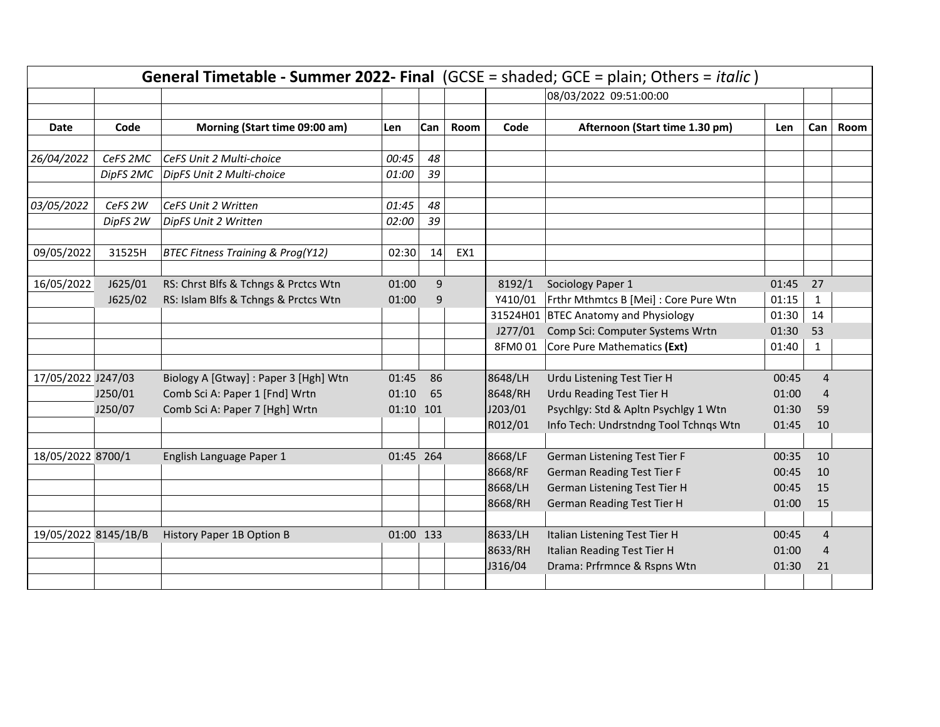|                      |           |                                              |           |     | General Timetable - Summer 2022- Final (GCSE = shaded; GCE = plain; Others = italic) |         |                                       |       |                |      |
|----------------------|-----------|----------------------------------------------|-----------|-----|--------------------------------------------------------------------------------------|---------|---------------------------------------|-------|----------------|------|
|                      |           |                                              |           |     |                                                                                      |         | 08/03/2022 09:51:00:00                |       |                |      |
|                      |           |                                              |           |     |                                                                                      |         |                                       |       |                |      |
| Date                 | Code      | Morning (Start time 09:00 am)                | Len       | Can | Room                                                                                 | Code    | Afternoon (Start time 1.30 pm)        | Len   | Can            | Room |
|                      |           |                                              |           |     |                                                                                      |         |                                       |       |                |      |
| 26/04/2022           | CeFS 2MC  | CeFS Unit 2 Multi-choice                     | 00:45     | 48  |                                                                                      |         |                                       |       |                |      |
|                      | DipFS 2MC | DipFS Unit 2 Multi-choice                    | 01:00     | 39  |                                                                                      |         |                                       |       |                |      |
| 03/05/2022           | CeFS 2W   | CeFS Unit 2 Written                          | 01:45     | 48  |                                                                                      |         |                                       |       |                |      |
|                      |           |                                              | 02:00     | 39  |                                                                                      |         |                                       |       |                |      |
|                      | DipFS 2W  | DipFS Unit 2 Written                         |           |     |                                                                                      |         |                                       |       |                |      |
| 09/05/2022           | 31525H    | <b>BTEC Fitness Training &amp; Prog(Y12)</b> | 02:30     | 14  | EX1                                                                                  |         |                                       |       |                |      |
|                      |           |                                              |           |     |                                                                                      |         |                                       |       |                |      |
| 16/05/2022           | J625/01   | RS: Chrst Blfs & Tchngs & Prctcs Wtn         | 01:00     | 9   |                                                                                      | 8192/1  | Sociology Paper 1                     | 01:45 | 27             |      |
|                      | J625/02   | RS: Islam Blfs & Tchngs & Prctcs Wtn         | 01:00     | 9   |                                                                                      | Y410/01 | Frthr Mthmtcs B [Mei] : Core Pure Wtn | 01:15 | 1              |      |
|                      |           |                                              |           |     |                                                                                      |         | 31524H01 BTEC Anatomy and Physiology  | 01:30 | 14             |      |
|                      |           |                                              |           |     |                                                                                      | J277/01 | Comp Sci: Computer Systems Wrtn       | 01:30 | 53             |      |
|                      |           |                                              |           |     |                                                                                      | 8FM001  | Core Pure Mathematics (Ext)           | 01:40 | 1              |      |
|                      |           |                                              |           |     |                                                                                      |         |                                       |       |                |      |
| 17/05/2022 J247/03   |           | Biology A [Gtway] : Paper 3 [Hgh] Wtn        | 01:45     | 86  |                                                                                      | 8648/LH | Urdu Listening Test Tier H            | 00:45 | $\overline{4}$ |      |
|                      | J250/01   | Comb Sci A: Paper 1 [Fnd] Wrtn               | 01:10     | 65  |                                                                                      | 8648/RH | Urdu Reading Test Tier H              | 01:00 | 4              |      |
|                      | J250/07   | Comb Sci A: Paper 7 [Hgh] Wrtn               | 01:10 101 |     |                                                                                      | J203/01 | Psychlgy: Std & Apltn Psychlgy 1 Wtn  | 01:30 | 59             |      |
|                      |           |                                              |           |     |                                                                                      | R012/01 | Info Tech: Undrstndng Tool Tchnqs Wtn | 01:45 | 10             |      |
|                      |           |                                              |           |     |                                                                                      |         |                                       |       |                |      |
| 18/05/2022 8700/1    |           | English Language Paper 1                     | 01:45 264 |     |                                                                                      | 8668/LF | German Listening Test Tier F          | 00:35 | 10             |      |
|                      |           |                                              |           |     |                                                                                      | 8668/RF | <b>German Reading Test Tier F</b>     | 00:45 | 10             |      |
|                      |           |                                              |           |     |                                                                                      | 8668/LH | German Listening Test Tier H          | 00:45 | 15             |      |
|                      |           |                                              |           |     |                                                                                      | 8668/RH | <b>German Reading Test Tier H</b>     | 01:00 | 15             |      |
|                      |           |                                              |           |     |                                                                                      |         |                                       |       |                |      |
| 19/05/2022 8145/1B/B |           | History Paper 1B Option B                    | 01:00 133 |     |                                                                                      | 8633/LH | Italian Listening Test Tier H         | 00:45 | $\overline{4}$ |      |
|                      |           |                                              |           |     |                                                                                      | 8633/RH | Italian Reading Test Tier H           | 01:00 | 4              |      |
|                      |           |                                              |           |     |                                                                                      | J316/04 | Drama: Prfrmnce & Rspns Wtn           | 01:30 | 21             |      |
|                      |           |                                              |           |     |                                                                                      |         |                                       |       |                |      |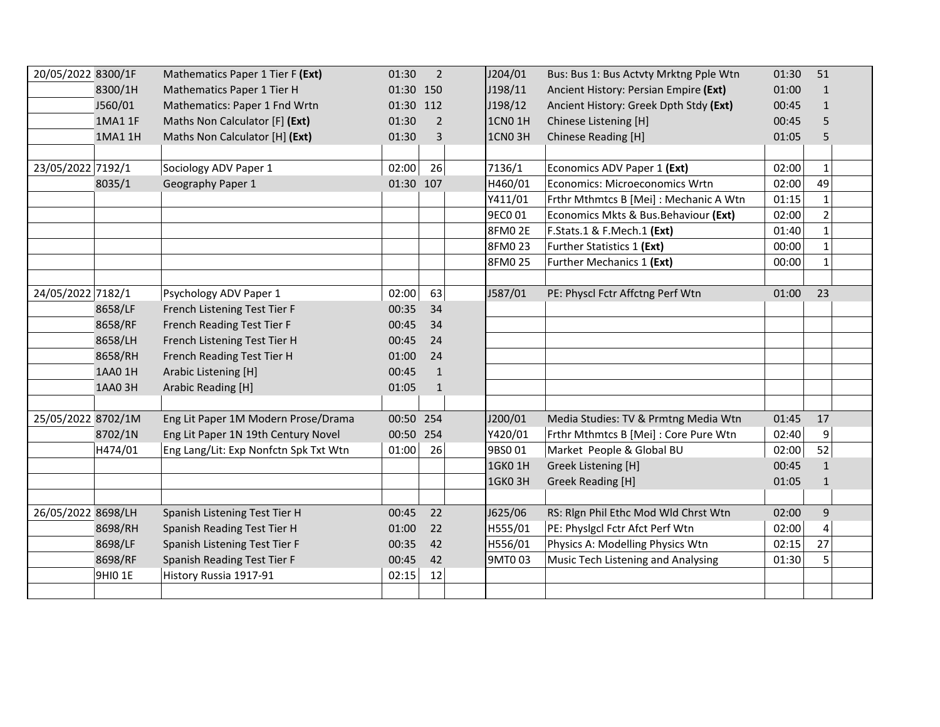| 20/05/2022 8300/1F |         | Mathematics Paper 1 Tier F (Ext)      | 01:30     | $\overline{2}$ | J204/01        | Bus: Bus 1: Bus Actvty Mrktng Pple Wtn | 01:30 | 51             |
|--------------------|---------|---------------------------------------|-----------|----------------|----------------|----------------------------------------|-------|----------------|
|                    | 8300/1H | Mathematics Paper 1 Tier H            | 01:30 150 |                | J198/11        | Ancient History: Persian Empire (Ext)  | 01:00 | 1              |
|                    | J560/01 | Mathematics: Paper 1 Fnd Wrtn         | 01:30 112 |                | J198/12        | Ancient History: Greek Dpth Stdy (Ext) | 00:45 | $\mathbf{1}$   |
|                    | 1MA1 1F | Maths Non Calculator [F] (Ext)        | 01:30     | $\overline{2}$ | <b>1CN0 1H</b> | Chinese Listening [H]                  | 00:45 | 5              |
|                    | 1MA1 1H | Maths Non Calculator [H] (Ext)        | 01:30     | 3              | 1CNO3H         | Chinese Reading [H]                    | 01:05 | 5              |
|                    |         |                                       |           |                |                |                                        |       |                |
| 23/05/2022 7192/1  |         | Sociology ADV Paper 1                 | 02:00     | 26             | 7136/1         | Economics ADV Paper 1 (Ext)            | 02:00 | $\mathbf{1}$   |
|                    | 8035/1  | Geography Paper 1                     | 01:30 107 |                | H460/01        | Economics: Microeconomics Wrtn         | 02:00 | 49             |
|                    |         |                                       |           |                | Y411/01        | Frthr Mthmtcs B [Mei] : Mechanic A Wtn | 01:15 | $\mathbf 1$    |
|                    |         |                                       |           |                | 9EC001         | Economics Mkts & Bus.Behaviour (Ext)   | 02:00 | $\overline{2}$ |
|                    |         |                                       |           |                | <b>8FM02E</b>  | F.Stats.1 & F.Mech.1 (Ext)             | 01:40 | $\mathbf{1}$   |
|                    |         |                                       |           |                | 8FM0 23        | Further Statistics 1 (Ext)             | 00:00 | $\mathbf{1}$   |
|                    |         |                                       |           |                | 8FM0 25        | Further Mechanics 1 (Ext)              | 00:00 | $\mathbf{1}$   |
|                    |         |                                       |           |                |                |                                        |       |                |
| 24/05/2022 7182/1  |         | Psychology ADV Paper 1                | 02:00     | 63             | J587/01        | PE: Physcl Fctr Affctng Perf Wtn       | 01:00 | 23             |
|                    | 8658/LF | French Listening Test Tier F          | 00:35     | 34             |                |                                        |       |                |
|                    | 8658/RF | French Reading Test Tier F            | 00:45     | 34             |                |                                        |       |                |
|                    | 8658/LH | French Listening Test Tier H          | 00:45     | 24             |                |                                        |       |                |
|                    | 8658/RH | French Reading Test Tier H            | 01:00     | 24             |                |                                        |       |                |
|                    | 1AA0 1H | Arabic Listening [H]                  | 00:45     | $\mathbf{1}$   |                |                                        |       |                |
|                    | 1AA0 3H | Arabic Reading [H]                    | 01:05     | $\mathbf{1}$   |                |                                        |       |                |
|                    |         |                                       |           |                |                |                                        |       |                |
| 25/05/2022 8702/1M |         | Eng Lit Paper 1M Modern Prose/Drama   | 00:50 254 |                | J200/01        | Media Studies: TV & Prmtng Media Wtn   | 01:45 | 17             |
|                    | 8702/1N | Eng Lit Paper 1N 19th Century Novel   | 00:50 254 |                | Y420/01        | Frthr Mthmtcs B [Mei] : Core Pure Wtn  | 02:40 | 9              |
|                    | H474/01 | Eng Lang/Lit: Exp Nonfctn Spk Txt Wtn | 01:00     | 26             | 9BS001         | Market People & Global BU              | 02:00 | 52             |
|                    |         |                                       |           |                | 1GK0 1H        | Greek Listening [H]                    | 00:45 | $\mathbf{1}$   |
|                    |         |                                       |           |                | <b>1GK03H</b>  | <b>Greek Reading [H]</b>               | 01:05 | 1              |
|                    |         |                                       |           |                |                |                                        |       |                |
| 26/05/2022 8698/LH |         | Spanish Listening Test Tier H         | 00:45     | 22             | J625/06        | RS: Rign Phil Ethc Mod Wid Chrst Wtn   | 02:00 | $\mathsf g$    |
|                    | 8698/RH | Spanish Reading Test Tier H           | 01:00     | 22             | H555/01        | PE: Physigcl Fctr Afct Perf Wtn        | 02:00 | 4              |
|                    | 8698/LF | Spanish Listening Test Tier F         | 00:35     | 42             | H556/01        | Physics A: Modelling Physics Wtn       | 02:15 | 27             |
|                    | 8698/RF | Spanish Reading Test Tier F           | 00:45     | 42             | 9MT003         | Music Tech Listening and Analysing     | 01:30 | 5              |
|                    | 9HI0 1E | History Russia 1917-91                | 02:15     | 12             |                |                                        |       |                |
|                    |         |                                       |           |                |                |                                        |       |                |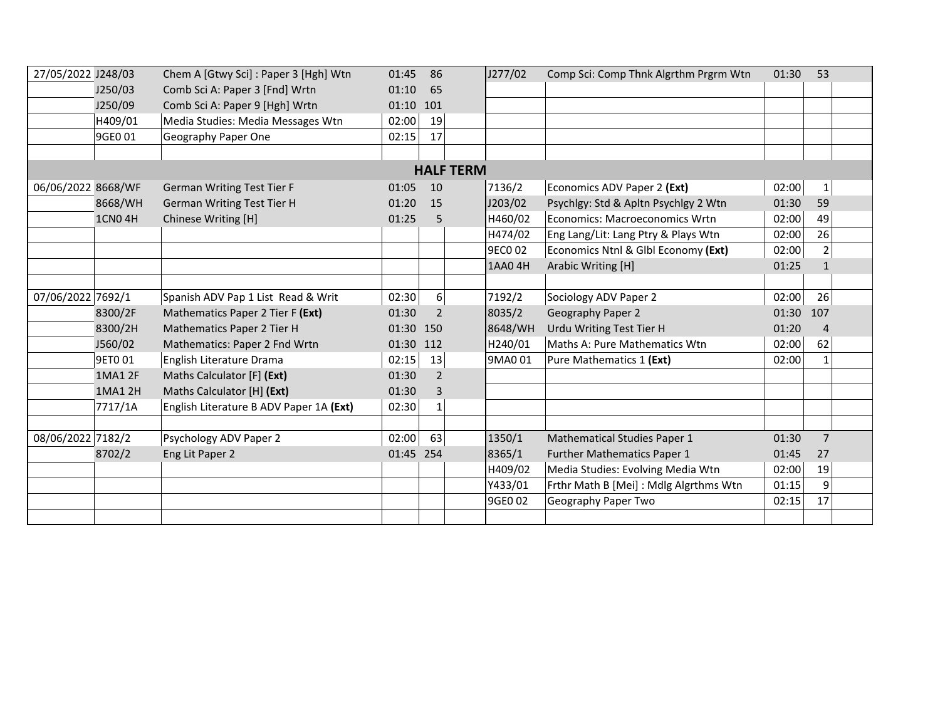| 27/05/2022 J248/03                                      |               | Chem A [Gtwy Sci] : Paper 3 [Hgh] Wtn   | 01:45     | 86               | J277/02        | Comp Sci: Comp Thnk Algrthm Prgrm Wtn  | 01:30     | 53             |
|---------------------------------------------------------|---------------|-----------------------------------------|-----------|------------------|----------------|----------------------------------------|-----------|----------------|
|                                                         | J250/03       | Comb Sci A: Paper 3 [Fnd] Wrtn          | 01:10     | 65               |                |                                        |           |                |
|                                                         | J250/09       | Comb Sci A: Paper 9 [Hgh] Wrtn          | 01:10 101 |                  |                |                                        |           |                |
|                                                         | H409/01       | Media Studies: Media Messages Wtn       | 02:00     | 19               |                |                                        |           |                |
|                                                         | 9GE0 01       | Geography Paper One                     | 02:15     | 17               |                |                                        |           |                |
|                                                         |               |                                         |           |                  |                |                                        |           |                |
|                                                         |               |                                         |           | <b>HALF TERM</b> |                |                                        |           |                |
| 06/06/2022 8668/WF<br><b>German Writing Test Tier F</b> |               |                                         | 01:05     | 10               | 7136/2         | Economics ADV Paper 2 (Ext)            | 02:00     | $1\,$          |
|                                                         | 8668/WH       | <b>German Writing Test Tier H</b>       | 01:20     | 15               | J203/02        | Psychlgy: Std & Apltn Psychlgy 2 Wtn   | 01:30     | 59             |
|                                                         | <b>1CN04H</b> | Chinese Writing [H]                     | 01:25     | 5                | H460/02        | Economics: Macroeconomics Wrtn         | 02:00     | 49             |
|                                                         |               |                                         |           |                  | H474/02        | Eng Lang/Lit: Lang Ptry & Plays Wtn    | 02:00     | 26             |
|                                                         |               |                                         |           |                  | <b>9ECO 02</b> | Economics Ntnl & Glbl Economy (Ext)    | 02:00     | $\overline{2}$ |
|                                                         |               |                                         |           |                  | 1AA0 4H        | Arabic Writing [H]                     | 01:25     | $\mathbf{1}$   |
|                                                         |               |                                         |           |                  |                |                                        |           |                |
| 07/06/2022 7692/1                                       |               | Spanish ADV Pap 1 List Read & Writ      | 02:30     | 6 <sup>1</sup>   | 7192/2         | Sociology ADV Paper 2                  | 02:00     | 26             |
|                                                         | 8300/2F       | Mathematics Paper 2 Tier F (Ext)        | 01:30     | $\overline{2}$   | 8035/2         | Geography Paper 2                      | 01:30 107 |                |
|                                                         | 8300/2H       | Mathematics Paper 2 Tier H              | 01:30 150 |                  | 8648/WH        | Urdu Writing Test Tier H               | 01:20     | $\overline{4}$ |
|                                                         | J560/02       | Mathematics: Paper 2 Fnd Wrtn           | 01:30 112 |                  | H240/01        | Maths A: Pure Mathematics Wtn          | 02:00     | 62             |
|                                                         | 9ET001        | English Literature Drama                | 02:15     | 13               | 9MA0 01        | Pure Mathematics 1 (Ext)               | 02:00     | $\mathbf{1}$   |
|                                                         | 1MA1 2F       | Maths Calculator [F] (Ext)              | 01:30     | 2                |                |                                        |           |                |
|                                                         | 1MA1 2H       | Maths Calculator [H] (Ext)              | 01:30     | 3                |                |                                        |           |                |
|                                                         | 7717/1A       | English Literature B ADV Paper 1A (Ext) | 02:30     | $\mathbf{1}$     |                |                                        |           |                |
|                                                         |               |                                         |           |                  |                |                                        |           |                |
| 08/06/2022 7182/2                                       |               | Psychology ADV Paper 2                  | 02:00     | 63               | 1350/1         | <b>Mathematical Studies Paper 1</b>    | 01:30     | $\overline{7}$ |
|                                                         | 8702/2        | Eng Lit Paper 2                         | 01:45 254 |                  | 8365/1         | Further Mathematics Paper 1            | 01:45     | 27             |
|                                                         |               |                                         |           |                  | H409/02        | Media Studies: Evolving Media Wtn      | 02:00     | 19             |
|                                                         |               |                                         |           |                  | Y433/01        | Frthr Math B [Mei] : Mdlg Algrthms Wtn | 01:15     | 9              |
|                                                         |               |                                         |           |                  | 9GE0 02        | Geography Paper Two                    | 02:15     | 17             |
|                                                         |               |                                         |           |                  |                |                                        |           |                |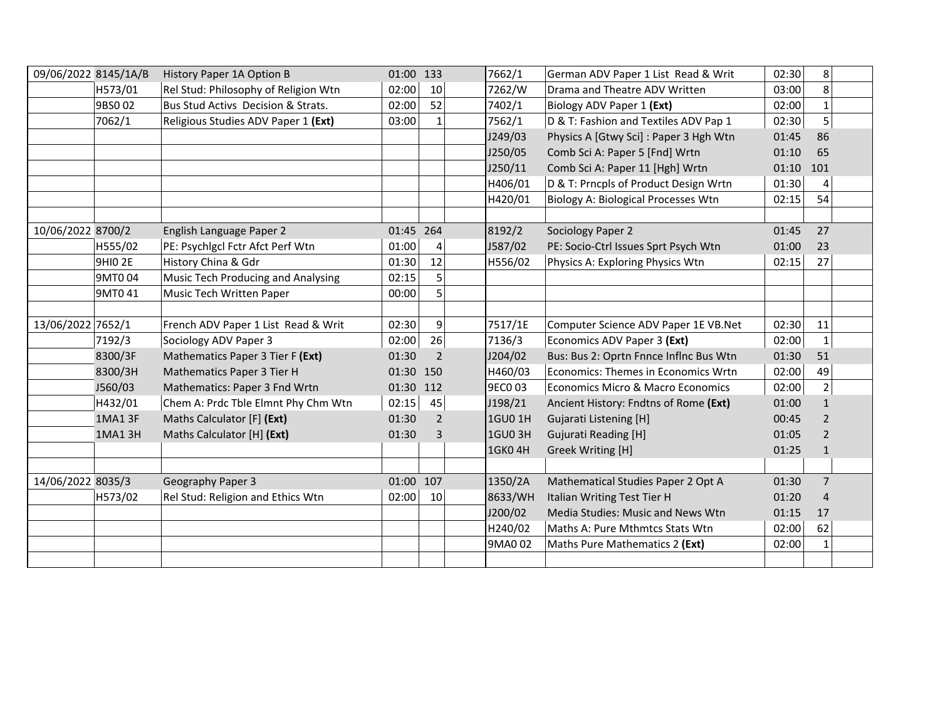| 09/06/2022 8145/1A/B |         | History Paper 1A Option B            | 01:00 133 |                | 7662/1         | German ADV Paper 1 List Read & Writ        | 02:30       | 8              |  |
|----------------------|---------|--------------------------------------|-----------|----------------|----------------|--------------------------------------------|-------------|----------------|--|
|                      | H573/01 | Rel Stud: Philosophy of Religion Wtn | 02:00     | 10             | 7262/W         | Drama and Theatre ADV Written              | 03:00       | 8              |  |
|                      | 9BS002  | Bus Stud Activs Decision & Strats.   | 02:00     | 52             | 7402/1         | Biology ADV Paper 1 (Ext)                  | 02:00       | $\mathbf 1$    |  |
|                      | 7062/1  | Religious Studies ADV Paper 1 (Ext)  | 03:00     | $\mathbf{1}$   | 7562/1         | D & T: Fashion and Textiles ADV Pap 1      | 02:30       | 5              |  |
|                      |         |                                      |           |                | J249/03        | Physics A [Gtwy Sci] : Paper 3 Hgh Wtn     | 01:45       | 86             |  |
|                      |         |                                      |           |                | J250/05        | Comb Sci A: Paper 5 [Fnd] Wrtn             | 01:10       | 65             |  |
|                      |         |                                      |           |                | J250/11        | Comb Sci A: Paper 11 [Hgh] Wrtn            | $01:10$ 101 |                |  |
|                      |         |                                      |           |                | H406/01        | D & T: Prncpls of Product Design Wrtn      | 01:30       | 4              |  |
|                      |         |                                      |           |                | H420/01        | <b>Biology A: Biological Processes Wtn</b> | 02:15       | 54             |  |
|                      |         |                                      |           |                |                |                                            |             |                |  |
| 10/06/2022 8700/2    |         | English Language Paper 2             | 01:45 264 |                | 8192/2         | Sociology Paper 2                          | 01:45       | 27             |  |
|                      | H555/02 | PE: Psychlgcl Fctr Afct Perf Wtn     | 01:00     | 4              | J587/02        | PE: Socio-Ctrl Issues Sprt Psych Wtn       | 01:00       | 23             |  |
|                      | 9HIO 2E | History China & Gdr                  | 01:30     | 12             | H556/02        | Physics A: Exploring Physics Wtn           | 02:15       | 27             |  |
|                      | 9MT004  | Music Tech Producing and Analysing   | 02:15     | 5              |                |                                            |             |                |  |
|                      | 9MT0 41 | Music Tech Written Paper             | 00:00     | 5              |                |                                            |             |                |  |
|                      |         |                                      |           |                |                |                                            |             |                |  |
| 13/06/2022 7652/1    |         | French ADV Paper 1 List Read & Writ  | 02:30     | $\overline{9}$ | 7517/1E        | Computer Science ADV Paper 1E VB.Net       | 02:30       | 11             |  |
|                      | 7192/3  | Sociology ADV Paper 3                | 02:00     | 26             | 7136/3         | Economics ADV Paper 3 (Ext)                | 02:00       | $\mathbf{1}$   |  |
|                      | 8300/3F | Mathematics Paper 3 Tier F (Ext)     | 01:30     | $\overline{2}$ | J204/02        | Bus: Bus 2: Oprtn Fnnce Inflnc Bus Wtn     | 01:30       | 51             |  |
|                      | 8300/3H | Mathematics Paper 3 Tier H           | 01:30 150 |                | H460/03        | Economics: Themes in Economics Wrtn        | 02:00       | 49             |  |
|                      | J560/03 | Mathematics: Paper 3 Fnd Wrtn        | 01:30 112 |                | 9EC0 03        | Economics Micro & Macro Economics          | 02:00       | $\mathbf 2$    |  |
|                      | H432/01 | Chem A: Prdc Tble Elmnt Phy Chm Wtn  | 02:15     | 45             | J198/21        | Ancient History: Fndtns of Rome (Ext)      | 01:00       | $\mathbf{1}$   |  |
|                      | 1MA1 3F | Maths Calculator [F] (Ext)           | 01:30     | $\overline{2}$ | 1GU0 1H        | Gujarati Listening [H]                     | 00:45       | 2              |  |
|                      | 1MA1 3H | Maths Calculator [H] (Ext)           | 01:30     | 3              | <b>1GU0 3H</b> | <b>Gujurati Reading [H]</b>                | 01:05       | $\overline{2}$ |  |
|                      |         |                                      |           |                | 1GK0 4H        | Greek Writing [H]                          | 01:25       | $\mathbf{1}$   |  |
|                      |         |                                      |           |                |                |                                            |             |                |  |
| 14/06/2022 8035/3    |         | Geography Paper 3                    | 01:00 107 |                | 1350/2A        | Mathematical Studies Paper 2 Opt A         | 01:30       | $\overline{7}$ |  |
|                      | H573/02 | Rel Stud: Religion and Ethics Wtn    | 02:00     | 10             | 8633/WH        | Italian Writing Test Tier H                | 01:20       | 4              |  |
|                      |         |                                      |           |                | J200/02        | Media Studies: Music and News Wtn          | 01:15       | 17             |  |
|                      |         |                                      |           |                | H240/02        | Maths A: Pure Mthmtcs Stats Wtn            | 02:00       | 62             |  |
|                      |         |                                      |           |                | 9MA0 02        | Maths Pure Mathematics 2 (Ext)             | 02:00       | 1              |  |
|                      |         |                                      |           |                |                |                                            |             |                |  |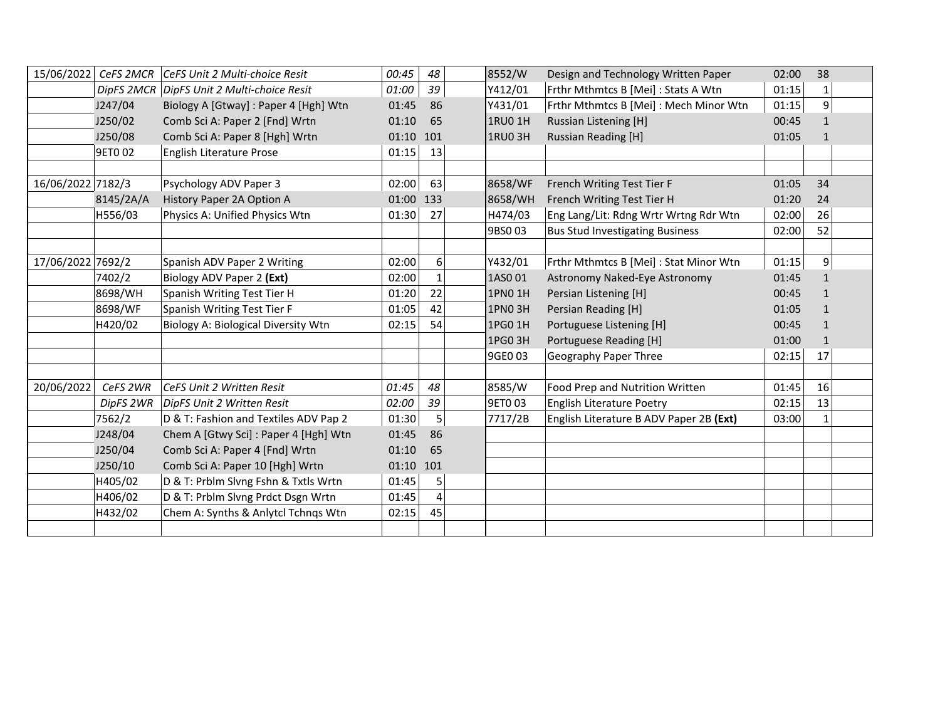|                   | 15/06/2022 CeFS 2MCR | CeFS Unit 2 Multi-choice Resit             | 00:45     | 48               | 8552/W         | Design and Technology Written Paper     | 02:00 | 38           |  |
|-------------------|----------------------|--------------------------------------------|-----------|------------------|----------------|-----------------------------------------|-------|--------------|--|
|                   |                      | DipFS 2MCR DipFS Unit 2 Multi-choice Resit | 01:00     | 39               | Y412/01        | Frthr Mthmtcs B [Mei] : Stats A Wtn     | 01:15 |              |  |
|                   | J247/04              | Biology A [Gtway] : Paper 4 [Hgh] Wtn      | 01:45     | 86               | Y431/01        | Frthr Mthmtcs B [Mei] : Mech Minor Wtn  | 01:15 | 9            |  |
|                   | J250/02              | Comb Sci A: Paper 2 [Fnd] Wrtn             | 01:10     | 65               | 1RU0 1H        | <b>Russian Listening [H]</b>            | 00:45 | $\mathbf{1}$ |  |
|                   | J250/08              | Comb Sci A: Paper 8 [Hgh] Wrtn             | 01:10 101 |                  | <b>1RU0 3H</b> | Russian Reading [H]                     | 01:05 | 1            |  |
|                   | 9ET0 02              | English Literature Prose                   | 01:15     | 13               |                |                                         |       |              |  |
|                   |                      |                                            |           |                  |                |                                         |       |              |  |
| 16/06/2022 7182/3 |                      | Psychology ADV Paper 3                     | 02:00     | 63               | 8658/WF        | French Writing Test Tier F              | 01:05 | 34           |  |
|                   | 8145/2A/A            | History Paper 2A Option A                  | 01:00 133 |                  | 8658/WH        | French Writing Test Tier H              | 01:20 | 24           |  |
|                   | H556/03              | Physics A: Unified Physics Wtn             | 01:30     | 27               | H474/03        | Eng Lang/Lit: Rdng Wrtr Wrtng Rdr Wtn   | 02:00 | 26           |  |
|                   |                      |                                            |           |                  | 9BS003         | <b>Bus Stud Investigating Business</b>  | 02:00 | 52           |  |
|                   |                      |                                            |           |                  |                |                                         |       |              |  |
| 17/06/2022 7692/2 |                      | Spanish ADV Paper 2 Writing                | 02:00     | $6 \overline{6}$ | Y432/01        | Frthr Mthmtcs B [Mei] : Stat Minor Wtn  | 01:15 | 9            |  |
|                   | 7402/2               | Biology ADV Paper 2 (Ext)                  | 02:00     | $\mathbf{1}$     | 1AS001         | Astronomy Naked-Eye Astronomy           | 01:45 | $\mathbf{1}$ |  |
|                   | 8698/WH              | Spanish Writing Test Tier H                | 01:20     | 22               | 1PN0 1H        | Persian Listening [H]                   | 00:45 | 1            |  |
|                   | 8698/WF              | Spanish Writing Test Tier F                | 01:05     | 42               | 1PNO 3H        | Persian Reading [H]                     | 01:05 | $\mathbf{1}$ |  |
|                   | H420/02              | Biology A: Biological Diversity Wtn        | 02:15     | 54               | 1PG0 1H        | Portuguese Listening [H]                | 00:45 | $\mathbf{1}$ |  |
|                   |                      |                                            |           |                  | 1PG0 3H        | Portuguese Reading [H]                  | 01:00 | $\mathbf{1}$ |  |
|                   |                      |                                            |           |                  | 9GE0 03        | Geography Paper Three                   | 02:15 | 17           |  |
|                   |                      |                                            |           |                  |                |                                         |       |              |  |
| 20/06/2022        | CeFS 2WR             | CeFS Unit 2 Written Resit                  | 01:45     | 48               | 8585/W         | Food Prep and Nutrition Written         | 01:45 | 16           |  |
|                   | DipFS 2WR            | DipFS Unit 2 Written Resit                 | 02:00     | 39               | 9ET003         | English Literature Poetry               | 02:15 | 13           |  |
|                   | 7562/2               | D & T: Fashion and Textiles ADV Pap 2      | 01:30     | 5                | 7717/2B        | English Literature B ADV Paper 2B (Ext) | 03:00 | 1            |  |
|                   | J248/04              | Chem A [Gtwy Sci] : Paper 4 [Hgh] Wtn      | 01:45     | 86               |                |                                         |       |              |  |
|                   | J250/04              | Comb Sci A: Paper 4 [Fnd] Wrtn             | 01:10     | 65               |                |                                         |       |              |  |
|                   | J250/10              | Comb Sci A: Paper 10 [Hgh] Wrtn            | 01:10 101 |                  |                |                                         |       |              |  |
|                   | H405/02              | D & T: Prblm Slvng Fshn & Txtls Wrtn       | 01:45     | 5                |                |                                         |       |              |  |
|                   | H406/02              | D & T: Prblm Slvng Prdct Dsgn Wrtn         | 01:45     | 4                |                |                                         |       |              |  |
|                   | H432/02              | Chem A: Synths & Anlytcl Tchngs Wtn        | 02:15     | 45               |                |                                         |       |              |  |
|                   |                      |                                            |           |                  |                |                                         |       |              |  |